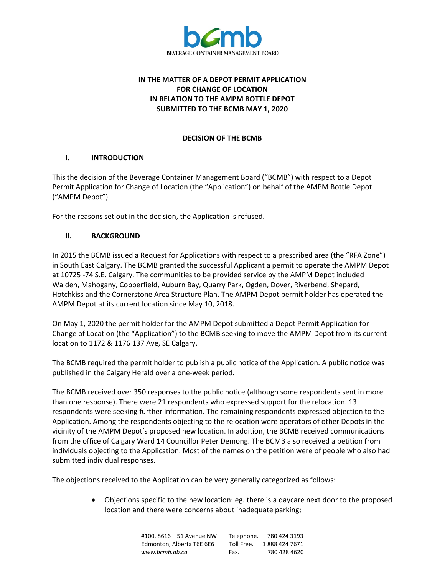

# **IN THE MATTER OF A DEPOT PERMIT APPLICATION FOR CHANGE OF LOCATION IN RELATION TO THE AMPM BOTTLE DEPOT SUBMITTED TO THE BCMB MAY 1, 2020**

## **DECISION OF THE BCMB**

## **I. INTRODUCTION**

This the decision of the Beverage Container Management Board ("BCMB") with respect to a Depot Permit Application for Change of Location (the "Application") on behalf of the AMPM Bottle Depot ("AMPM Depot").

For the reasons set out in the decision, the Application is refused.

## **II. BACKGROUND**

In 2015 the BCMB issued a Request for Applications with respect to a prescribed area (the "RFA Zone") in South East Calgary. The BCMB granted the successful Applicant a permit to operate the AMPM Depot at 10725 -74 S.E. Calgary. The communities to be provided service by the AMPM Depot included Walden, Mahogany, Copperfield, Auburn Bay, Quarry Park, Ogden, Dover, Riverbend, Shepard, Hotchkiss and the Cornerstone Area Structure Plan. The AMPM Depot permit holder has operated the AMPM Depot at its current location since May 10, 2018.

On May 1, 2020 the permit holder for the AMPM Depot submitted a Depot Permit Application for Change of Location (the "Application") to the BCMB seeking to move the AMPM Depot from its current location to 1172 & 1176 137 Ave, SE Calgary.

The BCMB required the permit holder to publish a public notice of the Application. A public notice was published in the Calgary Herald over a one-week period.

The BCMB received over 350 responses to the public notice (although some respondents sent in more than one response). There were 21 respondents who expressed support for the relocation. 13 respondents were seeking further information. The remaining respondents expressed objection to the Application. Among the respondents objecting to the relocation were operators of other Depots in the vicinity of the AMPM Depot's proposed new location. In addition, the BCMB received communications from the office of Calgary Ward 14 Councillor Peter Demong. The BCMB also received a petition from individuals objecting to the Application. Most of the names on the petition were of people who also had submitted individual responses.

The objections received to the Application can be very generally categorized as follows:

• Objections specific to the new location: eg. there is a daycare next door to the proposed location and there were concerns about inadequate parking;

| #100.8616 - 51 Avenue NW  | Telephone. | 780 424 3193  |
|---------------------------|------------|---------------|
| Edmonton, Alberta T6E 6E6 | Toll Free. | 1888 424 7671 |
| www.bcmb.ab.ca            | Fax.       | 780 428 4620  |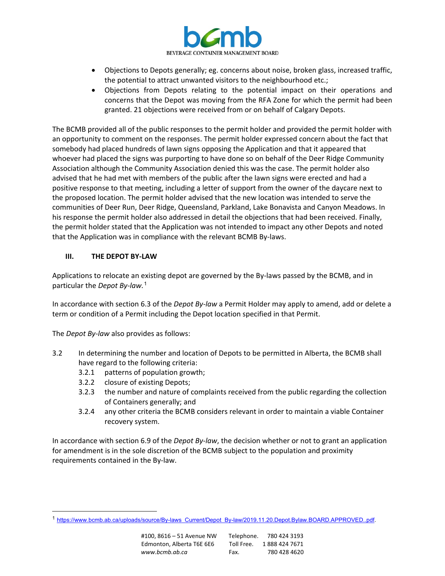

- Objections to Depots generally; eg. concerns about noise, broken glass, increased traffic, the potential to attract unwanted visitors to the neighbourhood etc.;
- Objections from Depots relating to the potential impact on their operations and concerns that the Depot was moving from the RFA Zone for which the permit had been granted. 21 objections were received from or on behalf of Calgary Depots.

The BCMB provided all of the public responses to the permit holder and provided the permit holder with an opportunity to comment on the responses. The permit holder expressed concern about the fact that somebody had placed hundreds of lawn signs opposing the Application and that it appeared that whoever had placed the signs was purporting to have done so on behalf of the Deer Ridge Community Association although the Community Association denied this was the case. The permit holder also advised that he had met with members of the public after the lawn signs were erected and had a positive response to that meeting, including a letter of support from the owner of the daycare next to the proposed location. The permit holder advised that the new location was intended to serve the communities of Deer Run, Deer Ridge, Queensland, Parkland, Lake Bonavista and Canyon Meadows. In his response the permit holder also addressed in detail the objections that had been received. Finally, the permit holder stated that the Application was not intended to impact any other Depots and noted that the Application was in compliance with the relevant BCMB By-laws.

## **III. THE DEPOT BY-LAW**

Applications to relocate an existing depot are governed by the By-laws passed by the BCMB, and in particular the *Depot By-law.* [1](#page-1-0)

In accordance with section 6.3 of the *Depot By-law* a Permit Holder may apply to amend, add or delete a term or condition of a Permit including the Depot location specified in that Permit.

The *Depot By-law* also provides as follows:

- 3.2 In determining the number and location of Depots to be permitted in Alberta, the BCMB shall have regard to the following criteria:
	- 3.2.1 patterns of population growth;
	- 3.2.2 closure of existing Depots;
	- 3.2.3 the number and nature of complaints received from the public regarding the collection of Containers generally; and
	- 3.2.4 any other criteria the BCMB considers relevant in order to maintain a viable Container recovery system.

In accordance with section 6.9 of the *Depot By-law*, the decision whether or not to grant an application for amendment is in the sole discretion of the BCMB subject to the population and proximity requirements contained in the By-law.

<span id="page-1-0"></span><sup>1</sup> [https://www.bcmb.ab.ca/uploads/source/By-laws\\_Current/Depot\\_By-law/2019.11.20.Depot.Bylaw.BOARD.APPROVED..pdf.](https://www.bcmb.ab.ca/uploads/source/By-laws_Current/Depot_By-law/2019.11.20.Depot.Bylaw.BOARD.APPROVED..pdf)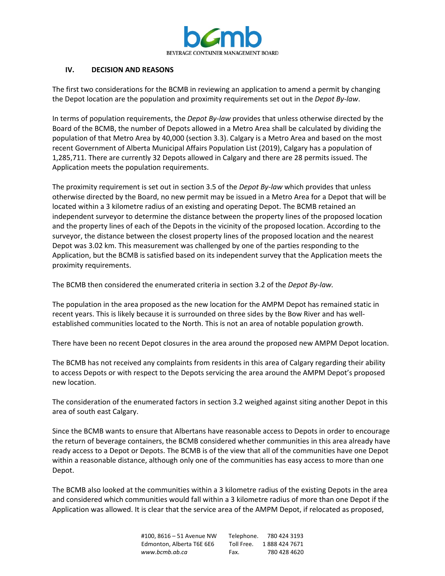

### **IV. DECISION AND REASONS**

The first two considerations for the BCMB in reviewing an application to amend a permit by changing the Depot location are the population and proximity requirements set out in the *Depot By-law*.

In terms of population requirements, the *Depot By-law* provides that unless otherwise directed by the Board of the BCMB, the number of Depots allowed in a Metro Area shall be calculated by dividing the population of that Metro Area by 40,000 (section 3.3). Calgary is a Metro Area and based on the most recent Government of Alberta Municipal Affairs Population List (2019), Calgary has a population of 1,285,711. There are currently 32 Depots allowed in Calgary and there are 28 permits issued. The Application meets the population requirements.

The proximity requirement is set out in section 3.5 of the *Depot By-law* which provides that unless otherwise directed by the Board, no new permit may be issued in a Metro Area for a Depot that will be located within a 3 kilometre radius of an existing and operating Depot. The BCMB retained an independent surveyor to determine the distance between the property lines of the proposed location and the property lines of each of the Depots in the vicinity of the proposed location. According to the surveyor, the distance between the closest property lines of the proposed location and the nearest Depot was 3.02 km. This measurement was challenged by one of the parties responding to the Application, but the BCMB is satisfied based on its independent survey that the Application meets the proximity requirements.

The BCMB then considered the enumerated criteria in section 3.2 of the *Depot By-law.*

The population in the area proposed as the new location for the AMPM Depot has remained static in recent years. This is likely because it is surrounded on three sides by the Bow River and has wellestablished communities located to the North. This is not an area of notable population growth.

There have been no recent Depot closures in the area around the proposed new AMPM Depot location.

The BCMB has not received any complaints from residents in this area of Calgary regarding their ability to access Depots or with respect to the Depots servicing the area around the AMPM Depot's proposed new location.

The consideration of the enumerated factors in section 3.2 weighed against siting another Depot in this area of south east Calgary.

Since the BCMB wants to ensure that Albertans have reasonable access to Depots in order to encourage the return of beverage containers, the BCMB considered whether communities in this area already have ready access to a Depot or Depots. The BCMB is of the view that all of the communities have one Depot within a reasonable distance, although only one of the communities has easy access to more than one Depot.

The BCMB also looked at the communities within a 3 kilometre radius of the existing Depots in the area and considered which communities would fall within a 3 kilometre radius of more than one Depot if the Application was allowed. It is clear that the service area of the AMPM Depot, if relocated as proposed,

> #100, 8616 – 51 Avenue NW Telephone. 780 424 3193 Edmonton, Alberta T6E 6E6 Toll Free. 1888 424 7671 *www.bcmb.ab.ca* Fax. 780 428 4620